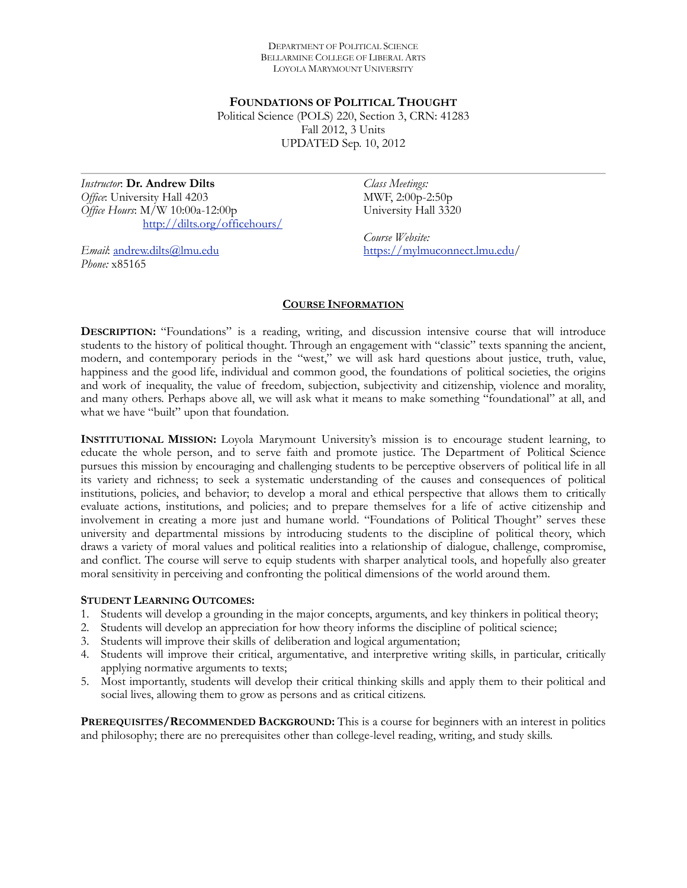DEPARTMENT OF POLITICAL SCIENCE BELLARMINE COLLEGE OF LIBERAL ARTS LOYOLA MARYMOUNT UNIVERSITY

**FOUNDATIONS OF POLITICAL THOUGHT** Political Science (POLS) 220, Section 3, CRN: 41283 Fall 2012, 3 Units UPDATED Sep. 10, 2012

*Instructor*: **Dr. Andrew Dilts** *Office*: University Hall 4203 *Office Hours*: M/W 10:00a-12:00p <http://dilts.org/officehours/>

*Email*: [andrew.dilts@lmu.edu](mailto:adilts@lmu.edu) *Phone:* x85165

*Class Meetings:*  MWF, 2:00p-2:50p University Hall 3320

*Course Website:*  [https://mylmuconnect.lmu.edu/](https://mylmuconnect.lmu.edu)

# **COURSE INFORMATION**

**DESCRIPTION:** "Foundations" is a reading, writing, and discussion intensive course that will introduce students to the history of political thought. Through an engagement with "classic" texts spanning the ancient, modern, and contemporary periods in the "west," we will ask hard questions about justice, truth, value, happiness and the good life, individual and common good, the foundations of political societies, the origins and work of inequality, the value of freedom, subjection, subjectivity and citizenship, violence and morality, and many others. Perhaps above all, we will ask what it means to make something "foundational" at all, and what we have "built" upon that foundation.

**INSTITUTIONAL MISSION:** Loyola Marymount University's mission is to encourage student learning, to educate the whole person, and to serve faith and promote justice. The Department of Political Science pursues this mission by encouraging and challenging students to be perceptive observers of political life in all its variety and richness; to seek a systematic understanding of the causes and consequences of political institutions, policies, and behavior; to develop a moral and ethical perspective that allows them to critically evaluate actions, institutions, and policies; and to prepare themselves for a life of active citizenship and involvement in creating a more just and humane world. "Foundations of Political Thought" serves these university and departmental missions by introducing students to the discipline of political theory, which draws a variety of moral values and political realities into a relationship of dialogue, challenge, compromise, and conflict. The course will serve to equip students with sharper analytical tools, and hopefully also greater moral sensitivity in perceiving and confronting the political dimensions of the world around them.

## **STUDENT LEARNING OUTCOMES:**

- 1. Students will develop a grounding in the major concepts, arguments, and key thinkers in political theory;
- 2. Students will develop an appreciation for how theory informs the discipline of political science;
- 3. Students will improve their skills of deliberation and logical argumentation;
- 4. Students will improve their critical, argumentative, and interpretive writing skills, in particular, critically applying normative arguments to texts;
- 5. Most importantly, students will develop their critical thinking skills and apply them to their political and social lives, allowing them to grow as persons and as critical citizens.

**PREREQUISITES/RECOMMENDED BACKGROUND:** This is a course for beginners with an interest in politics and philosophy; there are no prerequisites other than college-level reading, writing, and study skills.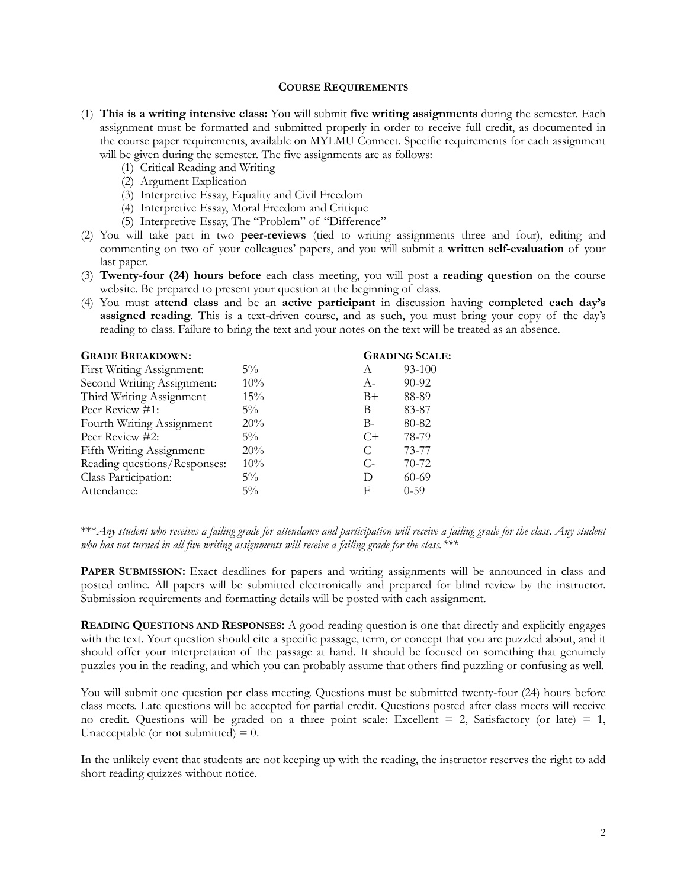## **COURSE REQUIREMENTS**

- (1) **This is a writing intensive class:** You will submit **five writing assignments** during the semester. Each assignment must be formatted and submitted properly in order to receive full credit, as documented in the course paper requirements, available on MYLMU Connect. Specific requirements for each assignment will be given during the semester. The five assignments are as follows:
	- (1) Critical Reading and Writing
	- (2) Argument Explication
	- (3) Interpretive Essay, Equality and Civil Freedom
	- (4) Interpretive Essay, Moral Freedom and Critique
	- (5) Interpretive Essay, The "Problem" of "Difference"
- (2) You will take part in two **peer-reviews** (tied to writing assignments three and four), editing and commenting on two of your colleagues' papers, and you will submit a **written self-evaluation** of your last paper.
- (3) **Twenty-four (24) hours before** each class meeting, you will post a **reading question** on the course website. Be prepared to present your question at the beginning of class.
- (4) You must **attend class** and be an **active participant** in discussion having **completed each day's assigned reading**. This is a text-driven course, and as such, you must bring your copy of the day's reading to class. Failure to bring the text and your notes on the text will be treated as an absence.

| <b>GRADE BREAKDOWN:</b>      |        |       | <b>GRADING SCALE:</b> |  |
|------------------------------|--------|-------|-----------------------|--|
| First Writing Assignment:    | $5\%$  | A     | 93-100                |  |
| Second Writing Assignment:   | $10\%$ | $A-$  | $90 - 92$             |  |
| Third Writing Assignment     | $15\%$ | $B+$  | 88-89                 |  |
| Peer Review #1:              | $5\%$  | В     | 83-87                 |  |
| Fourth Writing Assignment    | 20%    | $B -$ | 80-82                 |  |
| Peer Review #2:              | $5\%$  | $C+$  | 78-79                 |  |
| Fifth Writing Assignment:    | 20%    | C     | 73-77                 |  |
| Reading questions/Responses: | $10\%$ | $C$ - | $70-72$               |  |
| Class Participation:         | $5\%$  | D     | $60-69$               |  |
| Attendance:                  | $5\%$  | F     | $0 - 59$              |  |
|                              |        |       |                       |  |

\*\*\**Any student who receives a failing grade for attendance and participation will receive a failing grade for the class*. *Any student who has not turned in all five writing assignments will receive a failing grade for the class.\*\*\**

**PAPER SUBMISSION:** Exact deadlines for papers and writing assignments will be announced in class and posted online. All papers will be submitted electronically and prepared for blind review by the instructor. Submission requirements and formatting details will be posted with each assignment.

**READING QUESTIONS AND RESPONSES:** A good reading question is one that directly and explicitly engages with the text. Your question should cite a specific passage, term, or concept that you are puzzled about, and it should offer your interpretation of the passage at hand. It should be focused on something that genuinely puzzles you in the reading, and which you can probably assume that others find puzzling or confusing as well.

You will submit one question per class meeting. Questions must be submitted twenty-four (24) hours before class meets. Late questions will be accepted for partial credit. Questions posted after class meets will receive no credit. Questions will be graded on a three point scale: Excellent  $= 2$ , Satisfactory (or late)  $= 1$ , Unacceptable (or not submitted)  $= 0$ .

In the unlikely event that students are not keeping up with the reading, the instructor reserves the right to add short reading quizzes without notice.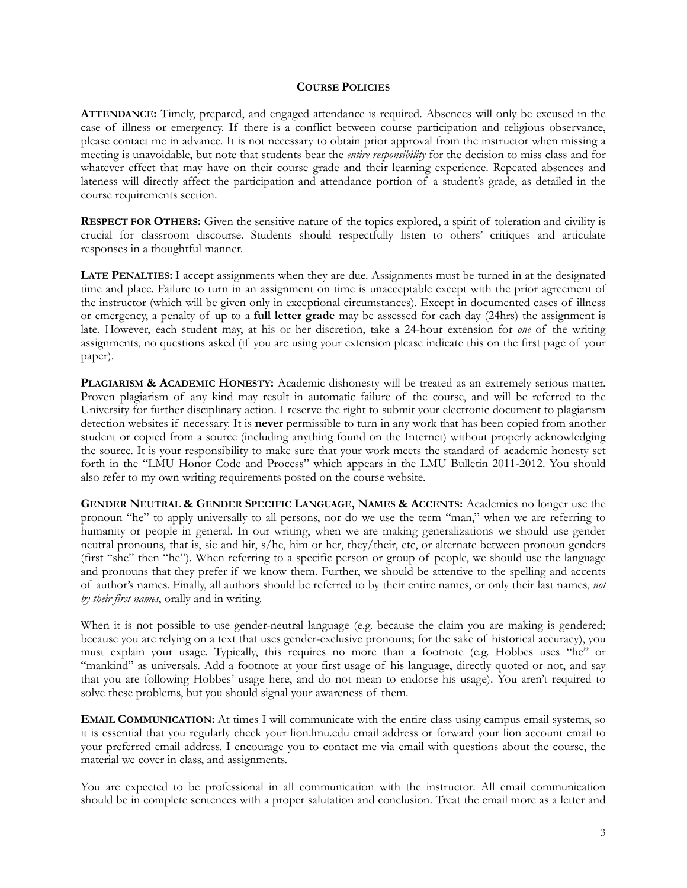## **COURSE POLICIES**

**ATTENDANCE:** Timely, prepared, and engaged attendance is required. Absences will only be excused in the case of illness or emergency. If there is a conflict between course participation and religious observance, please contact me in advance. It is not necessary to obtain prior approval from the instructor when missing a meeting is unavoidable, but note that students bear the *entire responsibility* for the decision to miss class and for whatever effect that may have on their course grade and their learning experience. Repeated absences and lateness will directly affect the participation and attendance portion of a student's grade, as detailed in the course requirements section.

**RESPECT FOR OTHERS:** Given the sensitive nature of the topics explored, a spirit of toleration and civility is crucial for classroom discourse. Students should respectfully listen to others' critiques and articulate responses in a thoughtful manner.

**LATE PENALTIES:** I accept assignments when they are due. Assignments must be turned in at the designated time and place. Failure to turn in an assignment on time is unacceptable except with the prior agreement of the instructor (which will be given only in exceptional circumstances). Except in documented cases of illness or emergency, a penalty of up to a **full letter grade** may be assessed for each day (24hrs) the assignment is late. However, each student may, at his or her discretion, take a 24-hour extension for *one* of the writing assignments, no questions asked (if you are using your extension please indicate this on the first page of your paper).

**PLAGIARISM & ACADEMIC HONESTY:** Academic dishonesty will be treated as an extremely serious matter. Proven plagiarism of any kind may result in automatic failure of the course, and will be referred to the University for further disciplinary action. I reserve the right to submit your electronic document to plagiarism detection websites if necessary. It is **never** permissible to turn in any work that has been copied from another student or copied from a source (including anything found on the Internet) without properly acknowledging the source. It is your responsibility to make sure that your work meets the standard of academic honesty set forth in the "LMU Honor Code and Process" which appears in the LMU Bulletin 2011-2012. You should also refer to my own writing requirements posted on the course website.

**GENDER NEUTRAL & GENDER SPECIFIC LANGUAGE, NAMES & ACCENTS:** Academics no longer use the pronoun "he" to apply universally to all persons, nor do we use the term "man," when we are referring to humanity or people in general. In our writing, when we are making generalizations we should use gender neutral pronouns, that is, sie and hir, s/he, him or her, they/their, etc, or alternate between pronoun genders (first "she" then "he"). When referring to a specific person or group of people, we should use the language and pronouns that they prefer if we know them. Further, we should be attentive to the spelling and accents of author's names. Finally, all authors should be referred to by their entire names, or only their last names, *not by their first names*, orally and in writing.

When it is not possible to use gender-neutral language (e.g. because the claim you are making is gendered; because you are relying on a text that uses gender-exclusive pronouns; for the sake of historical accuracy), you must explain your usage. Typically, this requires no more than a footnote (e.g. Hobbes uses "he" or "mankind" as universals. Add a footnote at your first usage of his language, directly quoted or not, and say that you are following Hobbes' usage here, and do not mean to endorse his usage). You aren't required to solve these problems, but you should signal your awareness of them.

**EMAIL COMMUNICATION:** At times I will communicate with the entire class using campus email systems, so it is essential that you regularly check your lion.lmu.edu email address or forward your lion account email to your preferred email address. I encourage you to contact me via email with questions about the course, the material we cover in class, and assignments.

You are expected to be professional in all communication with the instructor. All email communication should be in complete sentences with a proper salutation and conclusion. Treat the email more as a letter and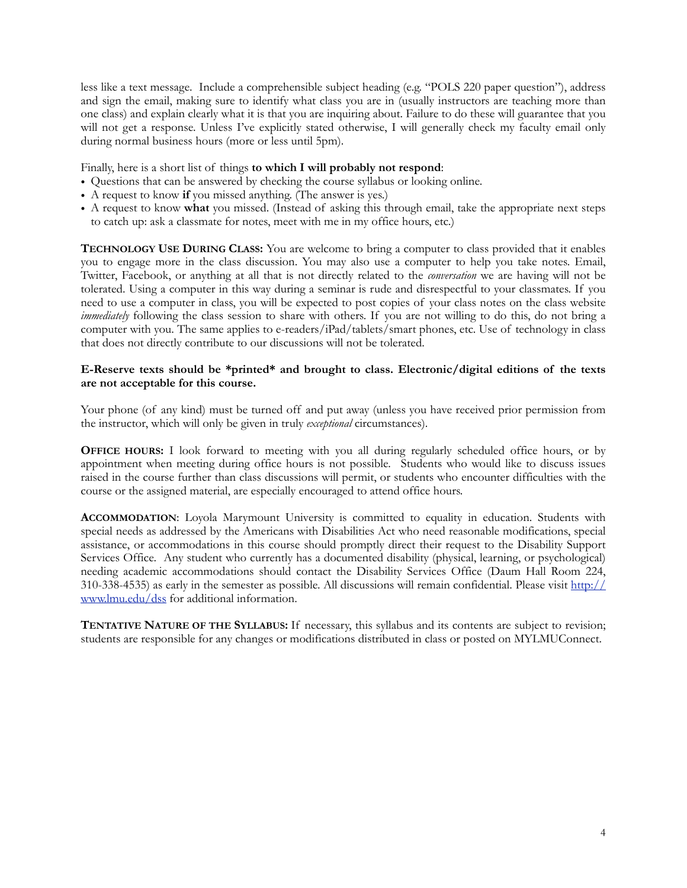less like a text message. Include a comprehensible subject heading (e.g. "POLS 220 paper question"), address and sign the email, making sure to identify what class you are in (usually instructors are teaching more than one class) and explain clearly what it is that you are inquiring about. Failure to do these will guarantee that you will not get a response. Unless I've explicitly stated otherwise, I will generally check my faculty email only during normal business hours (more or less until 5pm).

Finally, here is a short list of things **to which I will probably not respond**:

- Questions that can be answered by checking the course syllabus or looking online.
- A request to know **if** you missed anything. (The answer is yes.)
- A request to know **what** you missed. (Instead of asking this through email, take the appropriate next steps to catch up: ask a classmate for notes, meet with me in my office hours, etc.)

**TECHNOLOGY USE DURING CLASS:** You are welcome to bring a computer to class provided that it enables you to engage more in the class discussion. You may also use a computer to help you take notes. Email, Twitter, Facebook, or anything at all that is not directly related to the *conversation* we are having will not be tolerated. Using a computer in this way during a seminar is rude and disrespectful to your classmates. If you need to use a computer in class, you will be expected to post copies of your class notes on the class website *immediately* following the class session to share with others. If you are not willing to do this, do not bring a computer with you. The same applies to e-readers/iPad/tablets/smart phones, etc. Use of technology in class that does not directly contribute to our discussions will not be tolerated.

# **E-Reserve texts should be \*printed\* and brought to class. Electronic/digital editions of the texts are not acceptable for this course.**

Your phone (of any kind) must be turned off and put away (unless you have received prior permission from the instructor, which will only be given in truly *exceptional* circumstances).

**OFFICE HOURS:** I look forward to meeting with you all during regularly scheduled office hours, or by appointment when meeting during office hours is not possible. Students who would like to discuss issues raised in the course further than class discussions will permit, or students who encounter difficulties with the course or the assigned material, are especially encouraged to attend office hours.

**ACCOMMODATION**: Loyola Marymount University is committed to equality in education. Students with special needs as addressed by the Americans with Disabilities Act who need reasonable modifications, special assistance, or accommodations in this course should promptly direct their request to the Disability Support Services Office. Any student who currently has a documented disability (physical, learning, or psychological) needing academic accommodations should contact the Disability Services Office (Daum Hall Room 224, 310-338-4535) as early in the semester as possible. All discussions will remain confidential. Please visit [http://](http://www.lmu.edu/dss) [www.lmu.edu/dss](http://www.lmu.edu/dss) for additional information.

**TENTATIVE NATURE OF THE SYLLABUS:** If necessary, this syllabus and its contents are subject to revision; students are responsible for any changes or modifications distributed in class or posted on MYLMUConnect.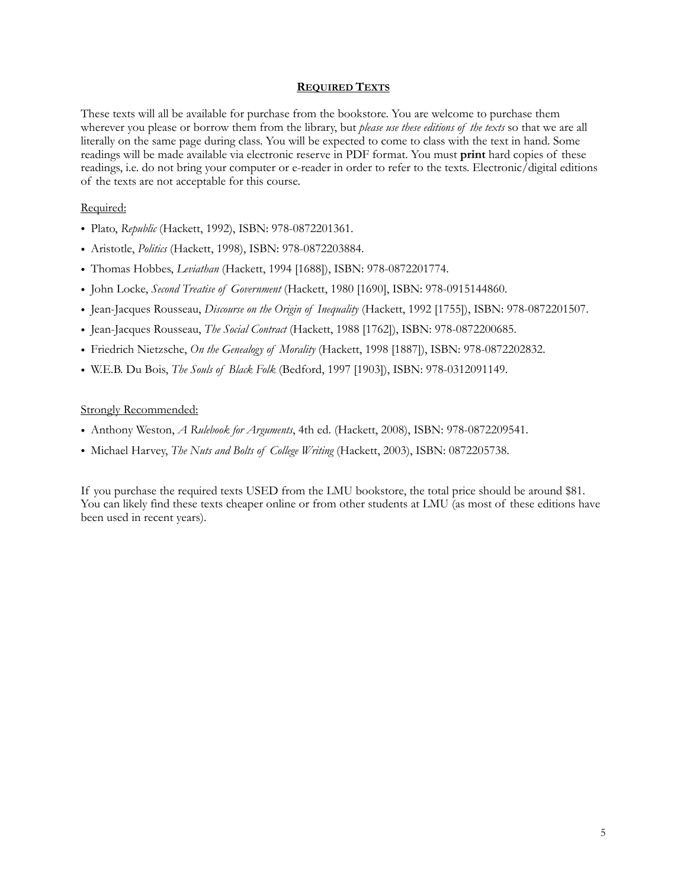# **REQUIRED TEXTS**

These texts will all be available for purchase from the bookstore. You are welcome to purchase them wherever you please or borrow them from the library, but *please use these editions of the texts* so that we are all literally on the same page during class. You will be expected to come to class with the text in hand. Some readings will be made available via electronic reserve in PDF format. You must **print** hard copies of these readings, i.e. do not bring your computer or e-reader in order to refer to the texts. Electronic/digital editions of the texts are not acceptable for this course.

# Required:

- Plato, *Republic* (Hackett, 1992), ISBN: 978-0872201361.
- Aristotle, *Politics* (Hackett, 1998), ISBN: 978-0872203884.
- Thomas Hobbes, *Leviathan* (Hackett, 1994 [1688]), ISBN: 978-0872201774.
- John Locke, *Second Treatise of Government* (Hackett, 1980 [1690], ISBN: 978-0915144860.
- Jean-Jacques Rousseau, *Discourse on the Origin of Inequality* (Hackett, 1992 [1755]), ISBN: 978-0872201507.
- Jean-Jacques Rousseau, *The Social Contract* (Hackett, 1988 [1762]), ISBN: 978-0872200685.
- Friedrich Nietzsche, *On the Genealogy of Morality* (Hackett, 1998 [1887]), ISBN: 978-0872202832.
- W.E.B. Du Bois, *The Souls of Black Folk* (Bedford, 1997 [1903]), ISBN: 978-0312091149.

# Strongly Recommended:

- Anthony Weston, *A Rulebook for Arguments*, 4th ed. (Hackett, 2008), ISBN: 978-0872209541.
- Michael Harvey, *The Nuts and Bolts of College Writing* (Hackett, 2003), ISBN: 0872205738.

If you purchase the required texts USED from the LMU bookstore, the total price should be around \$81. You can likely find these texts cheaper online or from other students at LMU (as most of these editions have been used in recent years).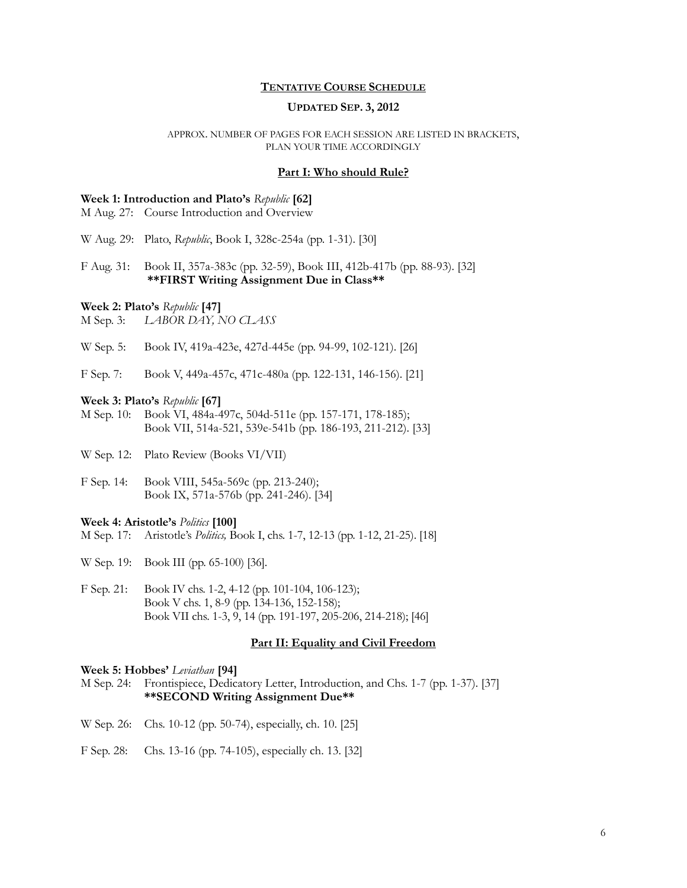# **TENTATIVE COURSE SCHEDULE**

## **UPDATED SEP. 3, 2012**

### APPROX. NUMBER OF PAGES FOR EACH SESSION ARE LISTED IN BRACKETS, PLAN YOUR TIME ACCORDINGLY

## **Part I: Who should Rule?**

### **Week 1: Introduction and Plato's** *Republic* **[62]**

M Aug. 27: Course Introduction and Overview

W Aug. 29: Plato, *Republic*, Book I, 328c-254a (pp. 1-31). [30]

F Aug. 31: Book II, 357a-383c (pp. 32-59), Book III, 412b-417b (pp. 88-93). [32] **\*\*FIRST Writing Assignment Due in Class\*\*** 

#### **Week 2: Plato's** *Republic* **[47]**

M Sep. 3: *LABOR DAY, NO CLASS*

W Sep. 5: Book IV, 419a-423e, 427d-445e (pp. 94-99, 102-121). [26]

F Sep. 7: Book V, 449a-457c, 471c-480a (pp. 122-131, 146-156). [21]

## **Week 3: Plato's** *Republic* **[67]**

M Sep. 10: Book VI, 484a-497c, 504d-511e (pp. 157-171, 178-185); Book VII, 514a-521, 539e-541b (pp. 186-193, 211-212). [33]

W Sep. 12: Plato Review (Books VI/VII)

F Sep. 14: Book VIII, 545a-569c (pp. 213-240); Book IX, 571a-576b (pp. 241-246). [34]

#### **Week 4: Aristotle's** *Politics* **[100]**

M Sep. 17: Aristotle's *Politics,* Book I, chs. 1-7, 12-13 (pp. 1-12, 21-25). [18]

W Sep. 19: Book III (pp. 65-100) [36].

F Sep. 21: Book IV chs. 1-2, 4-12 (pp. 101-104, 106-123); Book V chs. 1, 8-9 (pp. 134-136, 152-158); Book VII chs. 1-3, 9, 14 (pp. 191-197, 205-206, 214-218); [46]

## **Part II: Equality and Civil Freedom**

## **Week 5: Hobbes'** *Leviathan* **[94]**

M Sep. 24: Frontispiece, Dedicatory Letter, Introduction, and Chs. 1-7 (pp. 1-37). [37] **\*\*SECOND Writing Assignment Due\*\***

- W Sep. 26: Chs. 10-12 (pp. 50-74), especially, ch. 10. [25]
- F Sep. 28: Chs. 13-16 (pp. 74-105), especially ch. 13. [32]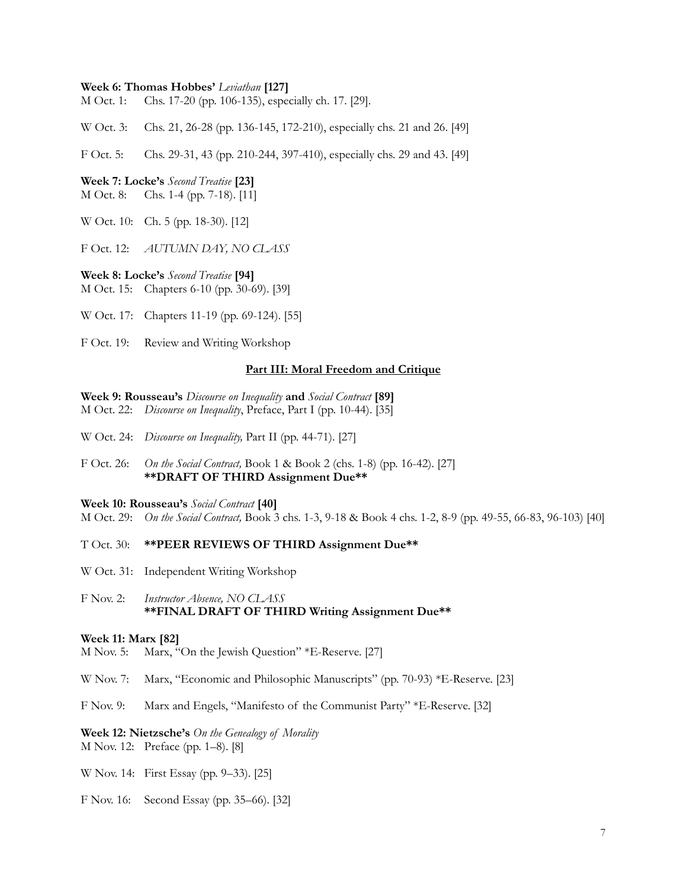### **Week 6: Thomas Hobbes'** *Leviathan* **[127]**

M Oct. 1: Chs. 17-20 (pp. 106-135), especially ch. 17. [29].

W Oct. 3: Chs. 21, 26-28 (pp. 136-145, 172-210), especially chs. 21 and 26. [49]

F Oct. 5: Chs. 29-31, 43 (pp. 210-244, 397-410), especially chs. 29 and 43. [49]

### **Week 7: Locke's** *Second Treatise* **[23]**

M Oct. 8: Chs. 1-4 (pp. 7-18). [11]

W Oct. 10: Ch. 5 (pp. 18-30). [12]

F Oct. 12: *AUTUMN DAY, NO CLASS*

#### **Week 8: Locke's** *Second Treatise* **[94]**

M Oct. 15: Chapters 6-10 (pp. 30-69). [39]

W Oct. 17: Chapters 11-19 (pp. 69-124). [55]

F Oct. 19: Review and Writing Workshop

## **Part III: Moral Freedom and Critique**

**Week 9: Rousseau's** *Discourse on Inequality* **and** *Social Contract* **[89]**

- M Oct. 22: *Discourse on Inequality*, Preface, Part I (pp. 10-44). [35]
- W Oct. 24: *Discourse on Inequality,* Part II (pp. 44-71). [27]
- F Oct. 26: *On the Social Contract,* Book 1 & Book 2 (chs. 1-8) (pp. 16-42). [27] **\*\*DRAFT OF THIRD Assignment Due\*\***

#### **Week 10: Rousseau's** *Social Contract* **[40]**

M Oct. 29: *On the Social Contract,* Book 3 chs. 1-3, 9-18 & Book 4 chs. 1-2, 8-9 (pp. 49-55, 66-83, 96-103) [40]

## T Oct. 30: **\*\*PEER REVIEWS OF THIRD Assignment Due\*\***

W Oct. 31: Independent Writing Workshop

F Nov. 2: *Instructor Absence, NO CLASS* **\*\*FINAL DRAFT OF THIRD Writing Assignment Due\*\***

#### **Week 11: Marx [82]**

- M Nov. 5: Marx, "On the Jewish Question" \*E-Reserve. [27]
- W Nov. 7: Marx, "Economic and Philosophic Manuscripts" (pp. 70-93) \*E-Reserve. [23]
- F Nov. 9: Marx and Engels, "Manifesto of the Communist Party" \*E-Reserve. [32]

# **Week 12: Nietzsche's** *On the Genealogy of Morality*

M Nov. 12: Preface (pp. 1–8). [8]

- W Nov. 14: First Essay (pp. 9–33). [25]
- F Nov. 16: Second Essay (pp. 35–66). [32]